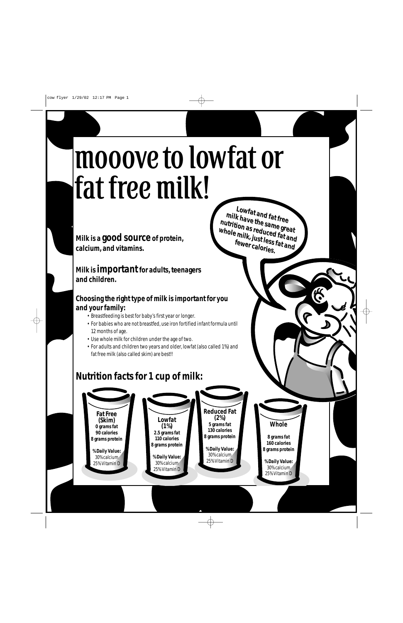## mooove to lowfat or fat free milk! **Lowfat and fat free**

**Milk is a good source of protein, calcium, and vitamins.**

**Milk is important for adults, teenagers and children.** 

### **Choosing the right type of milk is important for you and your family:**

- Breastfeeding is best for baby's first year or longer.
- For babies who are not breastfed, use iron fortified infant formula until 12 months of age.
- Use whole milk for children under the age of two.
- For adults and children two years and older, lowfat (also called 1%) and fat free milk (also called skim) are best!!

### **Nutrition facts for 1 cup of milk:**

**Fat Free (Skim) 0 grams fat 90 calories 8 grams protein**

**% Daily Value:** 30% calcium 25% Vitamin D



**Reduced Fat (2%) 5 grams fat 130 calories 8 grams protein % Daily Value:** 30% calcium

25% Vitamin D

### **Whole**

**milk have the same great nutrition as reduced fat and whole milk, just less fat and fewer calories.**

> **8 grams fat 160 calories 8 grams protein**

**% Daily Value:** 30% calcium 25% Vitamin D